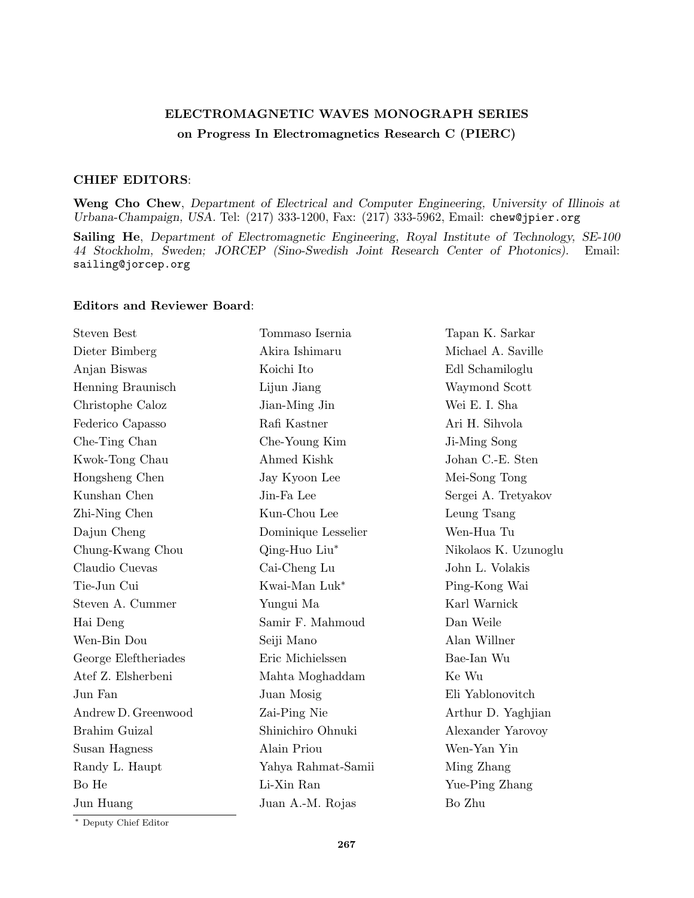## ELECTROMAGNETIC WAVES MONOGRAPH SERIES on Progress In Electromagnetics Research C (PIERC)

## CHIEF EDITORS:

Weng Cho Chew, Department of Electrical and Computer Engineering, University of Illinois at Urbana-Champaign, USA. Tel: (217) 333-1200, Fax: (217) 333-5962, Email: chew@jpier.org

Sailing He, Department of Electromagnetic Engineering, Royal Institute of Technology, SE-100 44 Stockholm, Sweden; JORCEP (Sino-Swedish Joint Research Center of Photonics). Email: sailing@jorcep.org

## Editors and Reviewer Board:

| <b>Steven Best</b>   | Tommaso Isernia     | Tapan K. Sarkar      |
|----------------------|---------------------|----------------------|
| Dieter Bimberg       | Akira Ishimaru      | Michael A. Saville   |
| Anjan Biswas         | Koichi Ito          | Edl Schamiloglu      |
| Henning Braunisch    | Lijun Jiang         | Waymond Scott        |
| Christophe Caloz     | Jian-Ming Jin       | Wei E. I. Sha        |
| Federico Capasso     | Rafi Kastner        | Ari H. Sihvola       |
| Che-Ting Chan        | Che-Young Kim       | Ji-Ming Song         |
| Kwok-Tong Chau       | Ahmed Kishk         | Johan C.-E. Sten     |
| Hongsheng Chen       | Jay Kyoon Lee       | Mei-Song Tong        |
| Kunshan Chen         | Jin-Fa Lee          | Sergei A. Tretyakov  |
| Zhi-Ning Chen        | Kun-Chou Lee        | Leung Tsang          |
| Dajun Cheng          | Dominique Lesselier | Wen-Hua Tu           |
| Chung-Kwang Chou     | Qing-Huo Liu*       | Nikolaos K. Uzunoglu |
| Claudio Cuevas       | Cai-Cheng Lu        | John L. Volakis      |
| Tie-Jun Cui          | Kwai-Man Luk*       | Ping-Kong Wai        |
| Steven A. Cummer     | Yungui Ma           | Karl Warnick         |
| Hai Deng             | Samir F. Mahmoud    | Dan Weile            |
| Wen-Bin Dou          | Seiji Mano          | Alan Willner         |
| George Eleftheriades | Eric Michielssen    | Bae-Ian Wu           |
| Atef Z. Elsherbeni   | Mahta Moghaddam     | Ke Wu                |
| Jun Fan              | Juan Mosig          | Eli Yablonovitch     |
| Andrew D. Greenwood  | Zai-Ping Nie        | Arthur D. Yaghjian   |
| Brahim Guizal        | Shinichiro Ohnuki   | Alexander Yarovoy    |
| Susan Hagness        | Alain Priou         | Wen-Yan Yin          |
| Randy L. Haupt       | Yahya Rahmat-Samii  | Ming Zhang           |
| Bo He                | Li-Xin Ran          | Yue-Ping Zhang       |
| Jun Huang            | Juan A.-M. Rojas    | Bo Zhu               |
|                      |                     |                      |

<sup>∗</sup> Deputy Chief Editor